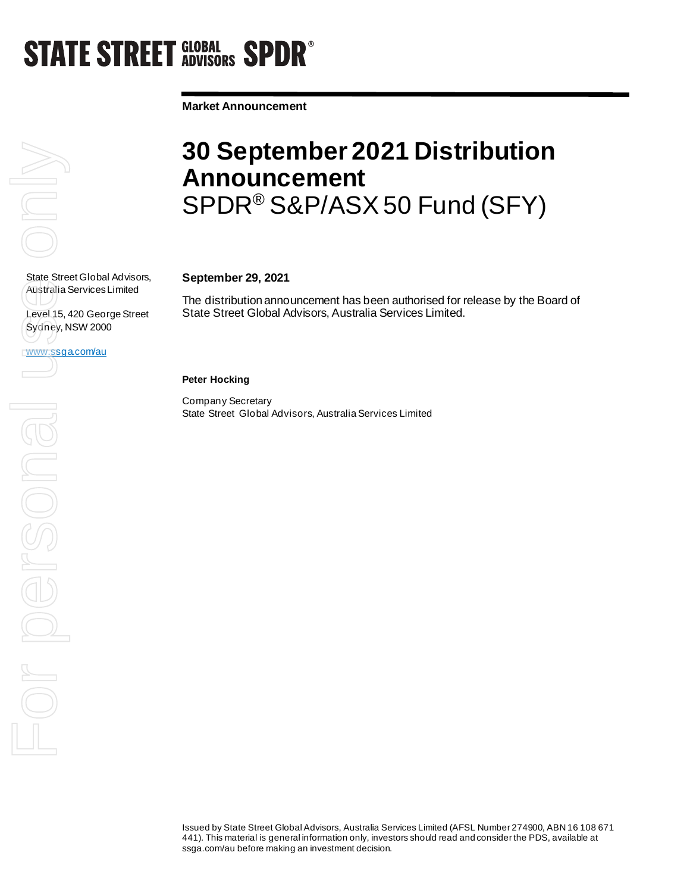# **STATE STREET GLOBAL SPDR<sup>®</sup>**

**Market Announcement**



Australia Services Limited

Sydney, NSW 2000

www.ssga.com/au

Level 15, 420 George Street

### **30 September 2021 Distribution Announcement**  SPDR® S&P/ASX 50 Fund (SFY)

### **September 29, 2021**

The distribution announcement has been authorised for release by the Board of State Street Global Advisors, Australia Services Limited.

**Peter Hocking**

Company Secretary State Street Global Advisors, Australia Services Limited

Issued by State Street Global Advisors, Australia Services Limited (AFSL Number 274900, ABN 16 108 671 441). This material is general information only, investors should read and consider the PDS, available at ssga.com/au before making an investment decision.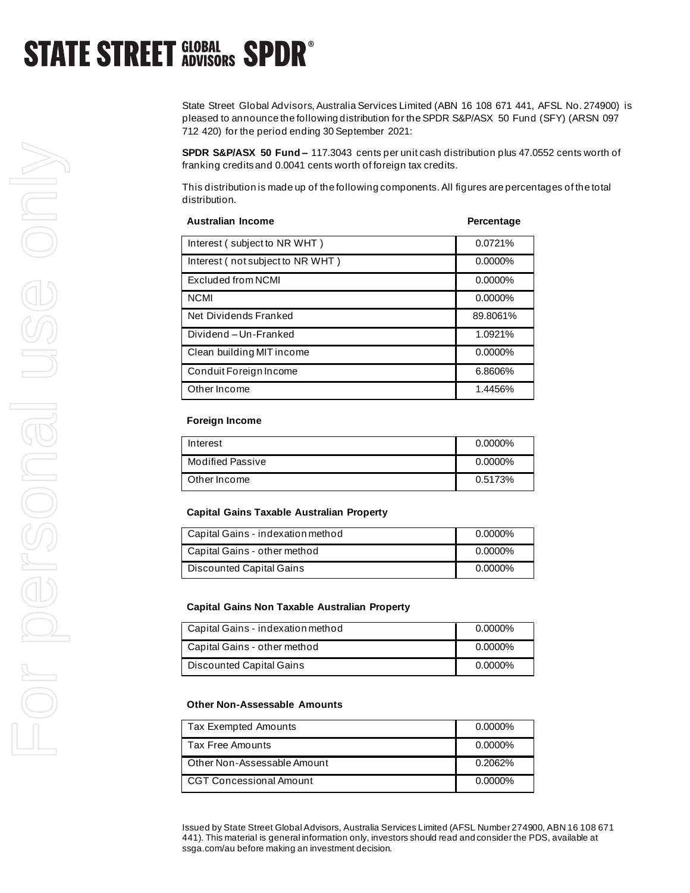## **STATE STREET GLOBAL SPDR<sup>®</sup>**

State Street Global Advisors, Australia Services Limited (ABN 16 108 671 441, AFSL No. 274900) is pleased to announce the following distribution for the SPDR S&P/ASX 50 Fund (SFY) (ARSN 097 712 420) for the period ending 30 September 2021:

**SPDR S&P/ASX 50 Fund –** 117.3043 cents per unit cash distribution plus 47.0552 cents worth of franking credits and 0.0041 cents worth of foreign tax credits.

This distribution is made up of the following components. All figures are percentages of the total distribution.

| <b>Australian Income</b>         | Percentage |
|----------------------------------|------------|
| Interest (subject to NR WHT)     | 0.0721%    |
| Interest (not subject to NR WHT) | $0.0000\%$ |
| Excluded from NCMI               | $0.0000\%$ |
| <b>NCMI</b>                      | $0.0000\%$ |
| Net Dividends Franked            | 89.8061%   |
| Dividend-Un-Franked              | 1.0921%    |
| Clean building MIT income        | $0.0000\%$ |
| Conduit Foreign Income           | 6.8606%    |
| Other Income                     | 1.4456%    |

#### **Foreign Income**

| Interest                | $0.0000\%$ |
|-------------------------|------------|
| <b>Modified Passive</b> | $0.0000\%$ |
| Other Income            | 0.5173%    |

#### **Capital Gains Taxable Australian Property**

| Capital Gains - indexation method | $0.0000\%$ |
|-----------------------------------|------------|
| Capital Gains - other method      | $0.0000\%$ |
| Discounted Capital Gains          | $0.0000\%$ |

#### **Capital Gains Non Taxable Australian Property**

| Capital Gains - indexation method | 0.0000% |
|-----------------------------------|---------|
| Capital Gains - other method      | 0.0000% |
| Discounted Capital Gains          | 0.0000% |

#### **Other Non-Assessable Amounts**

| Tax Exempted Amounts        | $0.0000\%$ |
|-----------------------------|------------|
| Tax Free Amounts            | $0.0000\%$ |
| Other Non-Assessable Amount | 0.2062%    |
| CGT Concessional Amount     | $0.0000\%$ |

Issued by State Street Global Advisors, Australia Services Limited (AFSL Number 274900, ABN 16 108 671 441). This material is general information only, investors should read and consider the PDS, available at ssga.com/au before making an investment decision.